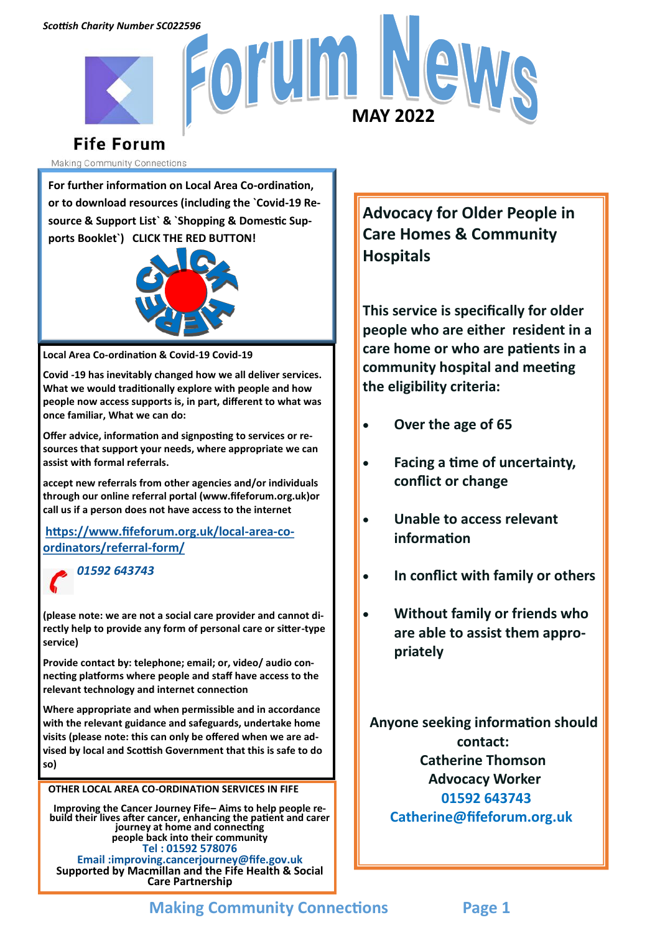

# **Fife Forum**

Making Community Connections

**For further information on Local Area Co-ordination, or to download resources (including the `Covid-19 Resource & Support List` & `Shopping & Domestic Supports Booklet`) CLICK THE RED BUTTON!**



**Local Area Co-ordination & Covid-19 Covid-19**

**Covid -19 has inevitably changed how we all deliver services. What we would traditionally explore with people and how people now access supports is, in part, different to what was once familiar, What we can do:**

**Offer advice, information and signposting to services or resources that support your needs, where appropriate we can assist with formal referrals.**

**accept new referrals from other agencies and/or individuals through our online referral portal (www.fifeforum.org.uk)or call us if a person does not have access to the internet**

**[https://www.fifeforum.org.uk/local](https://www.fifeforum.org.uk/local-area-co-ordinators/referral-form/)-area-co[ordinators/referral](https://www.fifeforum.org.uk/local-area-co-ordinators/referral-form/)-form/**

*01592 643743*

**(please note: we are not a social care provider and cannot directly help to provide any form of personal care or sitter-type service)** 

**Provide contact by: telephone; email; or, video/ audio connecting platforms where people and staff have access to the relevant technology and internet connection** 

**Where appropriate and when permissible and in accordance with the relevant guidance and safeguards, undertake home visits (please note: this can only be offered when we are advised by local and Scottish Government that this is safe to do so)**

**OTHER LOCAL AREA CO-ORDINATION SERVICES IN FIFE**

**Improving the Cancer Journey Fife– Aims to help people rebuild their lives after cancer, enhancing the patient and carer journey at home and connecting people back into their community Tel : 01592 578076 Email :improving.cancerjourney@fife.gov.uk Supported by Macmillan and the Fife Health & Social Care Partnership**

**Advocacy for Older People in Care Homes & Community Hospitals**

**This service is specifically for older people who are either resident in a care home or who are patients in a community hospital and meeting the eligibility criteria:**

- **Over the age of 65**
- **Facing a time of uncertainty, conflict or change**
- **Unable to access relevant information**
- **In conflict with family or others**
- **Without family or friends who are able to assist them appropriately**

 **Anyone seeking information should contact: Catherine Thomson Advocacy Worker 01592 643743 Catherine@fifeforum.org.uk**

## **Making Community Connections Page 1**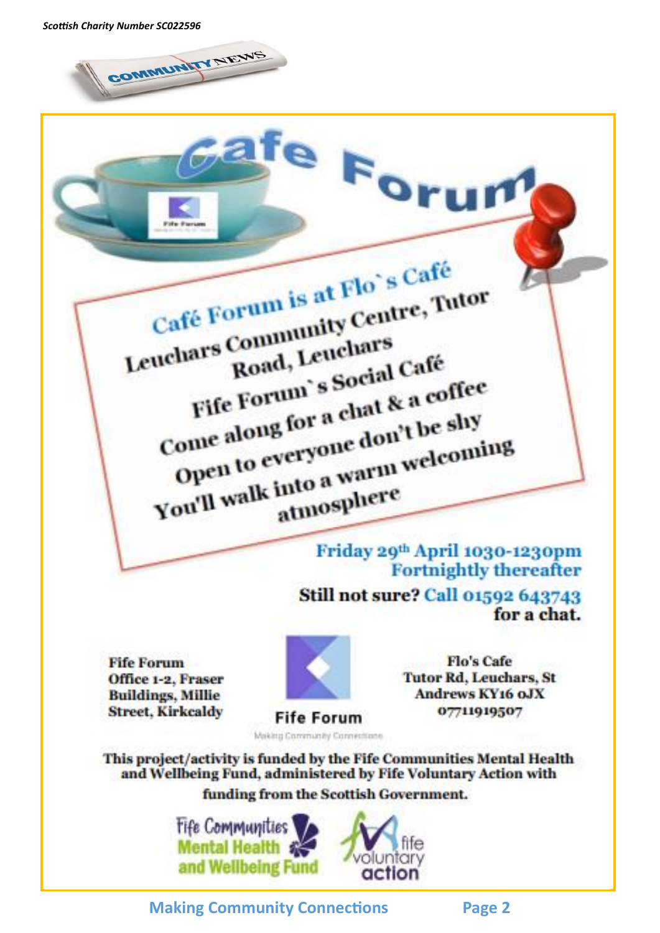COMMUNITY NEWS

Café Forum is at Flo's Café Café Forum is at Flo's Care, Tutor Road, Leuchars Fife Forum's Social Café Fife Forum's Social Cance<br>Come along for a chat & a coffee<br>Come along for a chat & a coffee Tife rol for a chat & a count<br>once along for a chat & a count<br>open to everyone don't be shy Come along to everyone don't be show<br>Open to everyone don't be showing

fe Foru

Friday 29th April 1030-1230pm **Fortnightly thereafter** 

Still not sure? Call 01592 643743 for a chat.

**Fife Forum** Office 1-2. Fraser **Buildings, Millie Street, Kirkcaldy** 



Making Community Connections

**Flo's Cafe Tutor Rd, Leuchars, St Andrews KY16 oJX** 07711919507

This project/activity is funded by the Fife Communities Mental Health and Wellbeing Fund, administered by Fife Voluntary Action with funding from the Scottish Government.

> **Fife Communities Mental Health** and Wellbeing Fund



**Making Community Connections Page 2**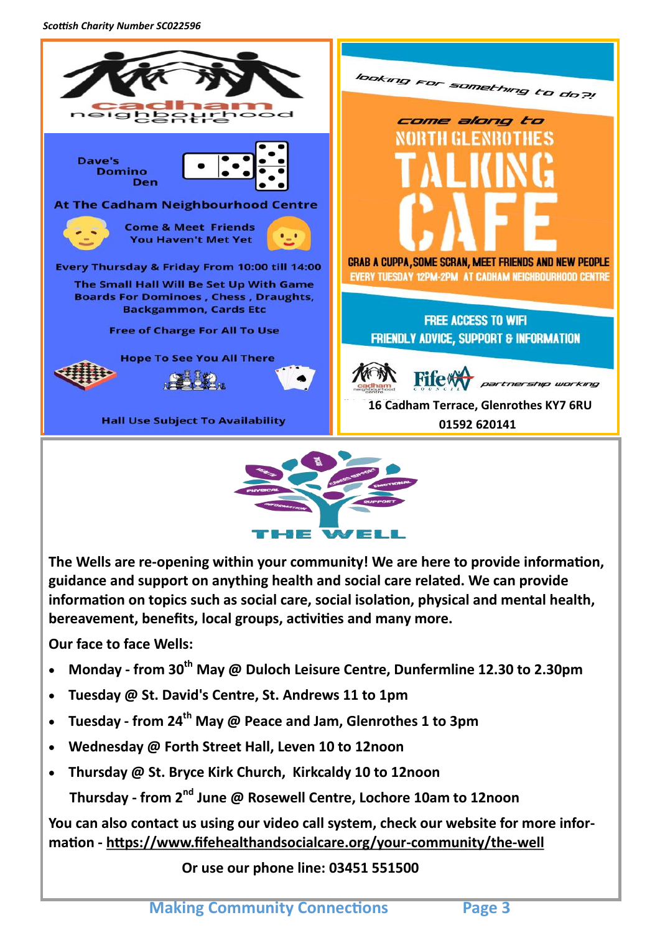*Scottish Charity Number SC022596*



**The Wells are re-opening within your community! We are here to provide information, guidance and support on anything health and social care related. We can provide information on topics such as social care, social isolation, physical and mental health, bereavement, benefits, local groups, activities and many more.**

WEL

-152

**Our face to face Wells:**

- **Monday - from 30th May @ Duloch Leisure Centre, Dunfermline 12.30 to 2.30pm**
- **Tuesday @ St. David's Centre, St. Andrews 11 to 1pm**
- **Tuesday - from 24th May @ Peace and Jam, Glenrothes 1 to 3pm**
- **Wednesday @ Forth Street Hall, Leven 10 to 12noon**
- **Thursday @ St. Bryce Kirk Church, Kirkcaldy 10 to 12noon**

 **Thursday - from 2nd June @ Rosewell Centre, Lochore 10am to 12noon**

**You can also contact us using our video call system, check our website for more information - [https://www.fifehealthandsocialcare.org/your](https://www.fifehealthandsocialcare.org/your-community/the-well)-community/the-well**

 **Or use our phone line: 03451 551500**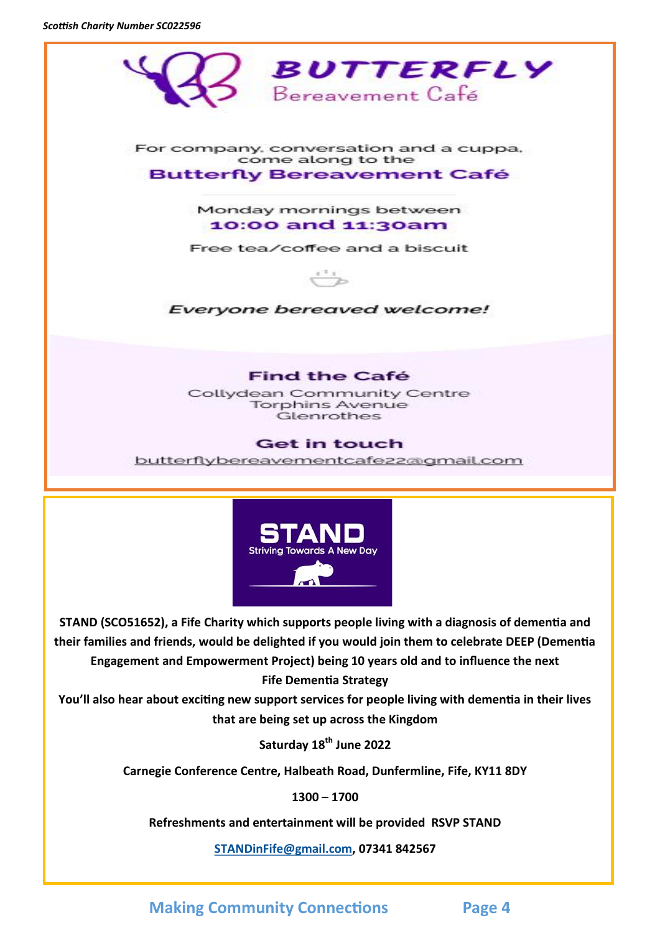*Scottish Charity Number SC022596*



**STAND (SCO51652), a Fife Charity which supports people living with a diagnosis of dementia and their families and friends, would be delighted if you would join them to celebrate DEEP (Dementia Engagement and Empowerment Project) being 10 years old and to influence the next Fife Dementia Strategy**

**You'll also hear about exciting new support services for people living with dementia in their lives that are being set up across the Kingdom**

**Saturday 18th June 2022**

**Carnegie Conference Centre, Halbeath Road, Dunfermline, Fife, KY11 8DY**

**1300 – 1700**

**Refreshments and entertainment will be provided RSVP STAND** 

**[STANDinFife@gmail.com,](mailto:STANDinFife@gmail.com) 07341 842567**

**Making Community Connections Page 4**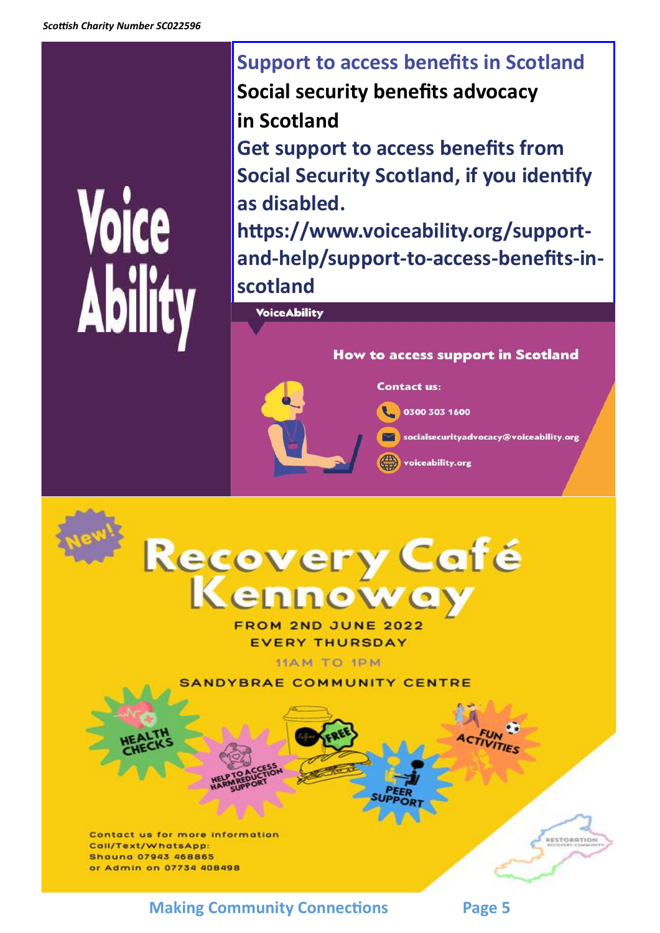# **Voice** Abili

**Support to access benefits in Scotland Social security benefits advocacy in Scotland Get support to access benefits from Social Security Scotland, if you identify** 

**as disabled. https://www.voiceability.org/supportand-help/support-to-access-benefits-inscotland**

**Voice Ability** 

### **How to access support in Scotland**

**Contact us:** 

0300 303 1600

socialsecurityadvocacy@voiceability.org

voiceability.org



**FROM 2ND JUNE 2022 EVERY THURSDAY** 

**11AM TO 1PM** 

ANDYBRAE COMMUNITY CENTRE

Contact us for more information Call/Text/WhatsApp: **Shound 07943 468865** or Admin on 07734 408498

**Making Community Connections Page 5** 

ESTORATION